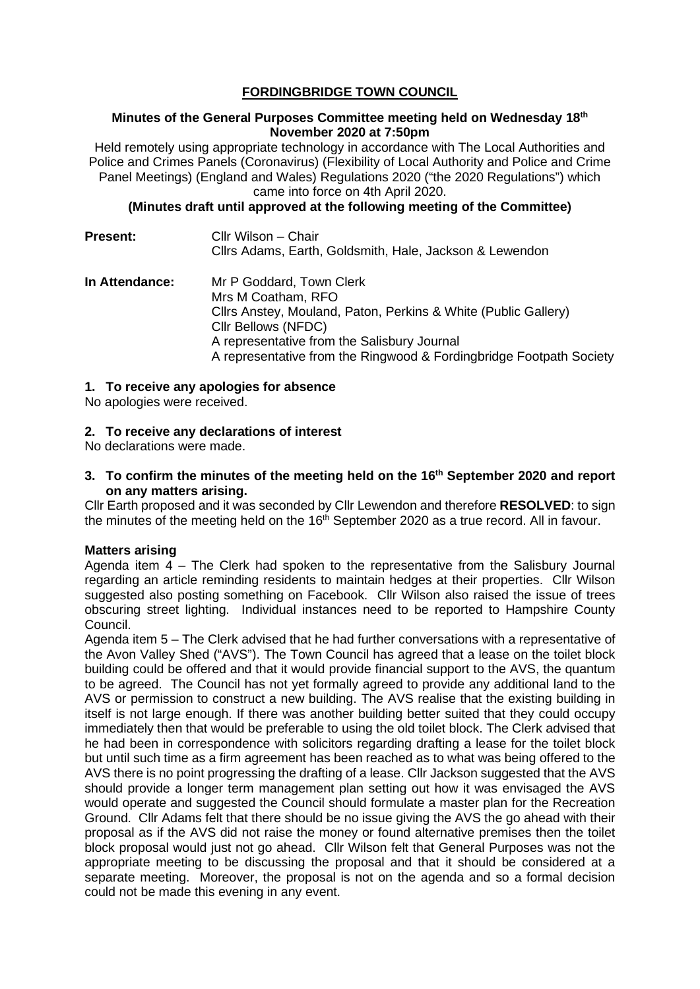# **FORDINGBRIDGE TOWN COUNCIL**

#### **Minutes of the General Purposes Committee meeting held on Wednesday 18th November 2020 at 7:50pm**

Held remotely using appropriate technology in accordance with The Local Authorities and Police and Crimes Panels (Coronavirus) (Flexibility of Local Authority and Police and Crime Panel Meetings) (England and Wales) Regulations 2020 ("the 2020 Regulations") which came into force on 4th April 2020.

#### **(Minutes draft until approved at the following meeting of the Committee)**

| <b>Present:</b> | Cllr Wilson - Chair<br>Cllrs Adams, Earth, Goldsmith, Hale, Jackson & Lewendon                                                                                                                                                                                |
|-----------------|---------------------------------------------------------------------------------------------------------------------------------------------------------------------------------------------------------------------------------------------------------------|
| In Attendance:  | Mr P Goddard, Town Clerk<br>Mrs M Coatham, RFO<br>Cllrs Anstey, Mouland, Paton, Perkins & White (Public Gallery)<br>Cllr Bellows (NFDC)<br>A representative from the Salisbury Journal<br>A representative from the Ringwood & Fordingbridge Footpath Society |

# **1. To receive any apologies for absence**

No apologies were received.

# **2. To receive any declarations of interest**

No declarations were made.

#### **3. To confirm the minutes of the meeting held on the 16th September 2020 and report on any matters arising.**

Cllr Earth proposed and it was seconded by Cllr Lewendon and therefore **RESOLVED**: to sign the minutes of the meeting held on the  $16<sup>th</sup>$  September 2020 as a true record. All in favour.

# **Matters arising**

Agenda item  $4 -$  The Clerk had spoken to the representative from the Salisbury Journal regarding an article reminding residents to maintain hedges at their properties. Cllr Wilson suggested also posting something on Facebook. Cllr Wilson also raised the issue of trees obscuring street lighting. Individual instances need to be reported to Hampshire County Council.

Agenda item 5 – The Clerk advised that he had further conversations with a representative of the Avon Valley Shed ("AVS"). The Town Council has agreed that a lease on the toilet block building could be offered and that it would provide financial support to the AVS, the quantum to be agreed. The Council has not yet formally agreed to provide any additional land to the AVS or permission to construct a new building. The AVS realise that the existing building in itself is not large enough. If there was another building better suited that they could occupy immediately then that would be preferable to using the old toilet block. The Clerk advised that he had been in correspondence with solicitors regarding drafting a lease for the toilet block but until such time as a firm agreement has been reached as to what was being offered to the AVS there is no point progressing the drafting of a lease. Cllr Jackson suggested that the AVS should provide a longer term management plan setting out how it was envisaged the AVS would operate and suggested the Council should formulate a master plan for the Recreation Ground. Cllr Adams felt that there should be no issue giving the AVS the go ahead with their proposal as if the AVS did not raise the money or found alternative premises then the toilet block proposal would just not go ahead. Cllr Wilson felt that General Purposes was not the appropriate meeting to be discussing the proposal and that it should be considered at a separate meeting. Moreover, the proposal is not on the agenda and so a formal decision could not be made this evening in any event.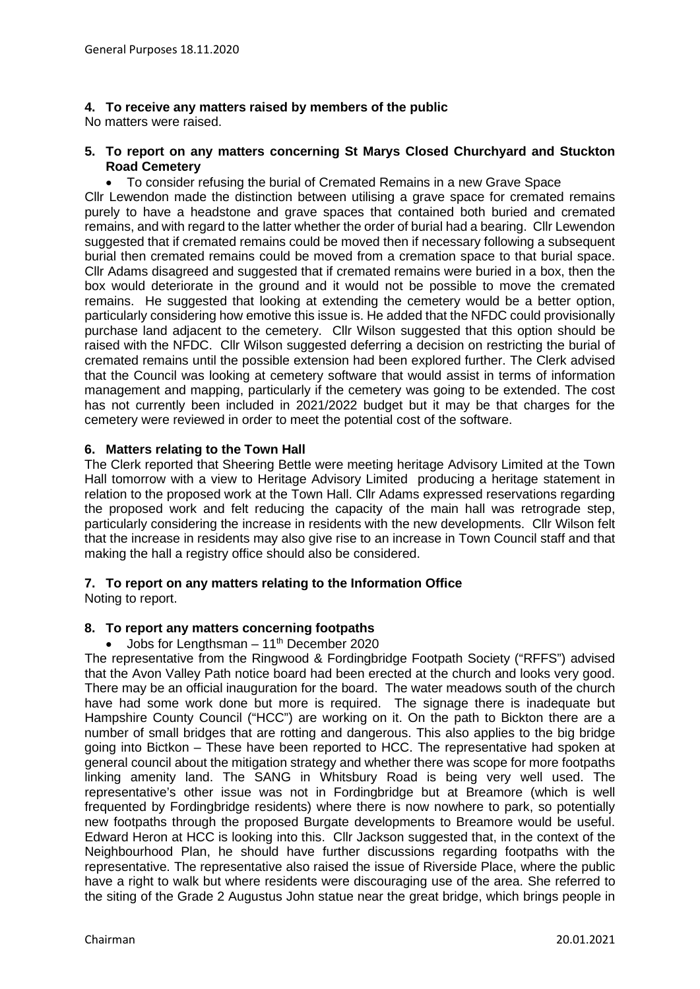# **4. To receive any matters raised by members of the public**

No matters were raised.

#### **5. To report on any matters concerning St Marys Closed Churchyard and Stuckton Road Cemetery**

• To consider refusing the burial of Cremated Remains in a new Grave Space

Cllr Lewendon made the distinction between utilising a grave space for cremated remains purely to have a headstone and grave spaces that contained both buried and cremated remains, and with regard to the latter whether the order of burial had a bearing. Cllr Lewendon suggested that if cremated remains could be moved then if necessary following a subsequent burial then cremated remains could be moved from a cremation space to that burial space. Cllr Adams disagreed and suggested that if cremated remains were buried in a box, then the box would deteriorate in the ground and it would not be possible to move the cremated remains. He suggested that looking at extending the cemetery would be a better option, particularly considering how emotive this issue is. He added that the NFDC could provisionally purchase land adjacent to the cemetery. Cllr Wilson suggested that this option should be raised with the NFDC. Cllr Wilson suggested deferring a decision on restricting the burial of cremated remains until the possible extension had been explored further. The Clerk advised that the Council was looking at cemetery software that would assist in terms of information management and mapping, particularly if the cemetery was going to be extended. The cost has not currently been included in 2021/2022 budget but it may be that charges for the cemetery were reviewed in order to meet the potential cost of the software.

#### **6. Matters relating to the Town Hall**

The Clerk reported that Sheering Bettle were meeting heritage Advisory Limited at the Town Hall tomorrow with a view to Heritage Advisory Limited producing a heritage statement in relation to the proposed work at the Town Hall. Cllr Adams expressed reservations regarding the proposed work and felt reducing the capacity of the main hall was retrograde step, particularly considering the increase in residents with the new developments. Cllr Wilson felt that the increase in residents may also give rise to an increase in Town Council staff and that making the hall a registry office should also be considered.

# **7. To report on any matters relating to the Information Office**

Noting to report.

# **8. To report any matters concerning footpaths**

• Jobs for Lengthsman  $-11<sup>th</sup>$  December 2020

The representative from the Ringwood & Fordingbridge Footpath Society ("RFFS") advised that the Avon Valley Path notice board had been erected at the church and looks very good. There may be an official inauguration for the board. The water meadows south of the church have had some work done but more is required. The signage there is inadequate but Hampshire County Council ("HCC") are working on it. On the path to Bickton there are a number of small bridges that are rotting and dangerous. This also applies to the big bridge going into Bictkon – These have been reported to HCC. The representative had spoken at general council about the mitigation strategy and whether there was scope for more footpaths linking amenity land. The SANG in Whitsbury Road is being very well used. The representative's other issue was not in Fordingbridge but at Breamore (which is well frequented by Fordingbridge residents) where there is now nowhere to park, so potentially new footpaths through the proposed Burgate developments to Breamore would be useful. Edward Heron at HCC is looking into this. Cllr Jackson suggested that, in the context of the Neighbourhood Plan, he should have further discussions regarding footpaths with the representative. The representative also raised the issue of Riverside Place, where the public have a right to walk but where residents were discouraging use of the area. She referred to the siting of the Grade 2 Augustus John statue near the great bridge, which brings people in